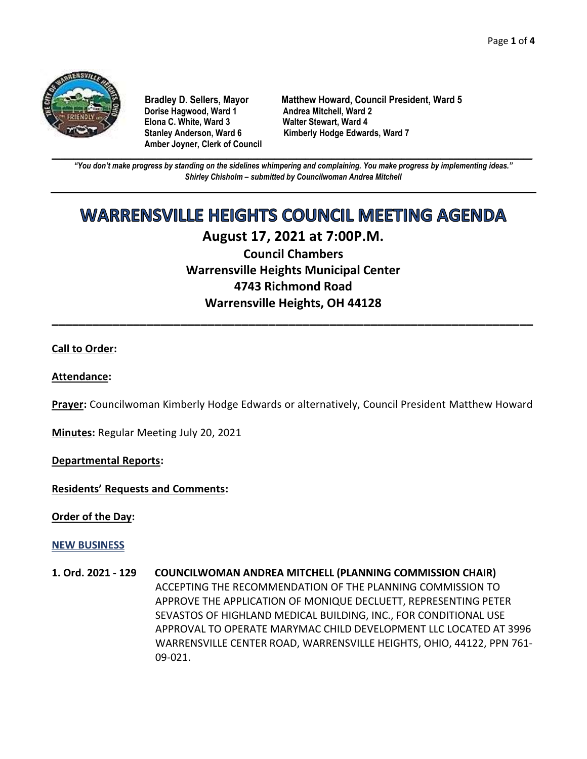

**Dorise Hagwood, Ward 1 Elona C. White, Ward 3 Walter Stewart, Ward 4 Amber Joyner, Clerk of Council**

**Bradley D. Sellers, Mayor Matthew Howard, Council President, Ward 5** Stanley Anderson, Ward 6 Kimberly Hodge Edwards, Ward 7

**\_\_\_\_\_\_\_\_\_\_\_\_\_\_\_\_\_\_\_\_\_\_\_\_\_\_\_\_\_\_\_\_\_\_\_\_\_\_\_\_\_\_\_\_\_\_\_\_\_\_\_\_\_\_\_\_\_\_\_\_\_\_\_\_\_\_\_\_\_\_\_\_\_\_\_\_\_\_\_\_\_\_\_\_\_\_\_\_\_\_\_\_\_\_\_\_\_\_\_\_\_\_\_\_\_\_\_\_\_\_** *"You don't make progress by standing on the sidelines whimpering and complaining. You make progress by implementing ideas." Shirley Chisholm – submitted by Councilwoman Andrea Mitchell*

# **WARRENSVILLE HEIGHTS COUNCIL MEETING AGENDA**

# **August 17, 2021 at 7:00P.M.**

**Council Chambers Warrensville Heights Municipal Center 4743 Richmond Road Warrensville Heights, OH 44128**

**\_\_\_\_\_\_\_\_\_\_\_\_\_\_\_\_\_\_\_\_\_\_\_\_\_\_\_\_\_\_\_\_\_\_\_\_\_\_\_\_\_\_\_\_\_\_\_\_\_\_\_\_\_\_\_\_\_\_\_\_\_\_\_\_\_\_\_\_\_\_\_**

# **Call to Order:**

## **Attendance:**

**Prayer:** Councilwoman Kimberly Hodge Edwards or alternatively, Council President Matthew Howard

**Minutes:** Regular Meeting July 20, 2021

**Departmental Reports:**

**Residents' Requests and Comments:**

**Order of the Day:**

## **NEW BUSINESS**

**1. Ord. 2021 - 129 COUNCILWOMAN ANDREA MITCHELL (PLANNING COMMISSION CHAIR)** ACCEPTING THE RECOMMENDATION OF THE PLANNING COMMISSION TO APPROVE THE APPLICATION OF MONIQUE DECLUETT, REPRESENTING PETER SEVASTOS OF HIGHLAND MEDICAL BUILDING, INC., FOR CONDITIONAL USE APPROVAL TO OPERATE MARYMAC CHILD DEVELOPMENT LLC LOCATED AT 3996 WARRENSVILLE CENTER ROAD, WARRENSVILLE HEIGHTS, OHIO, 44122, PPN 761- 09-021.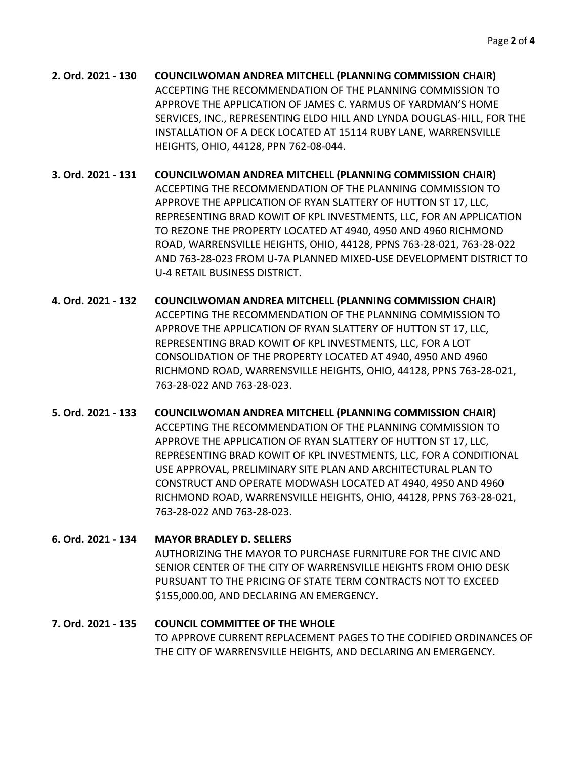**2. Ord. 2021 - 130 COUNCILWOMAN ANDREA MITCHELL (PLANNING COMMISSION CHAIR)** ACCEPTING THE RECOMMENDATION OF THE PLANNING COMMISSION TO APPROVE THE APPLICATION OF JAMES C. YARMUS OF YARDMAN'S HOME SERVICES, INC., REPRESENTING ELDO HILL AND LYNDA DOUGLAS-HILL, FOR THE INSTALLATION OF A DECK LOCATED AT 15114 RUBY LANE, WARRENSVILLE HEIGHTS, OHIO, 44128, PPN 762-08-044.

**3. Ord. 2021 - 131 COUNCILWOMAN ANDREA MITCHELL (PLANNING COMMISSION CHAIR)** ACCEPTING THE RECOMMENDATION OF THE PLANNING COMMISSION TO APPROVE THE APPLICATION OF RYAN SLATTERY OF HUTTON ST 17, LLC, REPRESENTING BRAD KOWIT OF KPL INVESTMENTS, LLC, FOR AN APPLICATION TO REZONE THE PROPERTY LOCATED AT 4940, 4950 AND 4960 RICHMOND ROAD, WARRENSVILLE HEIGHTS, OHIO, 44128, PPNS 763-28-021, 763-28-022 AND 763-28-023 FROM U-7A PLANNED MIXED-USE DEVELOPMENT DISTRICT TO U-4 RETAIL BUSINESS DISTRICT.

**4. Ord. 2021 - 132 COUNCILWOMAN ANDREA MITCHELL (PLANNING COMMISSION CHAIR)** ACCEPTING THE RECOMMENDATION OF THE PLANNING COMMISSION TO APPROVE THE APPLICATION OF RYAN SLATTERY OF HUTTON ST 17, LLC, REPRESENTING BRAD KOWIT OF KPL INVESTMENTS, LLC, FOR A LOT CONSOLIDATION OF THE PROPERTY LOCATED AT 4940, 4950 AND 4960 RICHMOND ROAD, WARRENSVILLE HEIGHTS, OHIO, 44128, PPNS 763-28-021, 763-28-022 AND 763-28-023.

**5. Ord. 2021 - 133 COUNCILWOMAN ANDREA MITCHELL (PLANNING COMMISSION CHAIR)** ACCEPTING THE RECOMMENDATION OF THE PLANNING COMMISSION TO APPROVE THE APPLICATION OF RYAN SLATTERY OF HUTTON ST 17, LLC, REPRESENTING BRAD KOWIT OF KPL INVESTMENTS, LLC, FOR A CONDITIONAL USE APPROVAL, PRELIMINARY SITE PLAN AND ARCHITECTURAL PLAN TO CONSTRUCT AND OPERATE MODWASH LOCATED AT 4940, 4950 AND 4960 RICHMOND ROAD, WARRENSVILLE HEIGHTS, OHIO, 44128, PPNS 763-28-021, 763-28-022 AND 763-28-023.

# **6. Ord. 2021 - 134 MAYOR BRADLEY D. SELLERS** AUTHORIZING THE MAYOR TO PURCHASE FURNITURE FOR THE CIVIC AND SENIOR CENTER OF THE CITY OF WARRENSVILLE HEIGHTS FROM OHIO DESK PURSUANT TO THE PRICING OF STATE TERM CONTRACTS NOT TO EXCEED \$155,000.00, AND DECLARING AN EMERGENCY.

# **7. Ord. 2021 - 135 COUNCIL COMMITTEE OF THE WHOLE** TO APPROVE CURRENT REPLACEMENT PAGES TO THE CODIFIED ORDINANCES OF THE CITY OF WARRENSVILLE HEIGHTS, AND DECLARING AN EMERGENCY.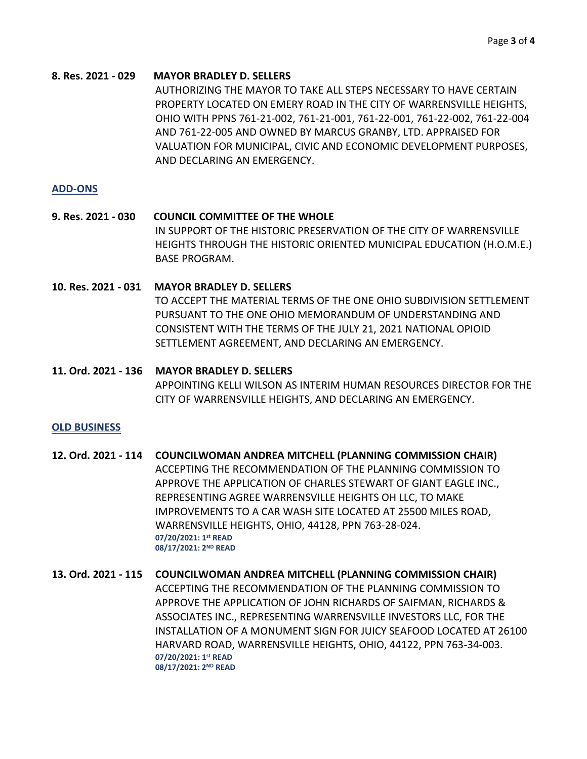#### **8. Res. 2021 - 029 MAYOR BRADLEY D. SELLERS**

AUTHORIZING THE MAYOR TO TAKE ALL STEPS NECESSARY TO HAVE CERTAIN PROPERTY LOCATED ON EMERY ROAD IN THE CITY OF WARRENSVILLE HEIGHTS, OHIO WITH PPNS 761-21-002, 761-21-001, 761-22-001, 761-22-002, 761-22-004 AND 761-22-005 AND OWNED BY MARCUS GRANBY, LTD. APPRAISED FOR VALUATION FOR MUNICIPAL, CIVIC AND ECONOMIC DEVELOPMENT PURPOSES, AND DECLARING AN EMERGENCY.

#### **ADD-ONS**

- **9. Res. 2021 - 030 COUNCIL COMMITTEE OF THE WHOLE** IN SUPPORT OF THE HISTORIC PRESERVATION OF THE CITY OF WARRENSVILLE HEIGHTS THROUGH THE HISTORIC ORIENTED MUNICIPAL EDUCATION (H.O.M.E.) BASE PROGRAM.
- **10. Res. 2021 - 031 MAYOR BRADLEY D. SELLERS** TO ACCEPT THE MATERIAL TERMS OF THE ONE OHIO SUBDIVISION SETTLEMENT PURSUANT TO THE ONE OHIO MEMORANDUM OF UNDERSTANDING AND CONSISTENT WITH THE TERMS OF THE JULY 21, 2021 NATIONAL OPIOID SETTLEMENT AGREEMENT, AND DECLARING AN EMERGENCY.

#### **11. Ord. 2021 - 136 MAYOR BRADLEY D. SELLERS**

APPOINTING KELLI WILSON AS INTERIM HUMAN RESOURCES DIRECTOR FOR THE CITY OF WARRENSVILLE HEIGHTS, AND DECLARING AN EMERGENCY.

#### **OLD BUSINESS**

- **12. Ord. 2021 - 114 COUNCILWOMAN ANDREA MITCHELL (PLANNING COMMISSION CHAIR)** ACCEPTING THE RECOMMENDATION OF THE PLANNING COMMISSION TO APPROVE THE APPLICATION OF CHARLES STEWART OF GIANT EAGLE INC., REPRESENTING AGREE WARRENSVILLE HEIGHTS OH LLC, TO MAKE IMPROVEMENTS TO A CAR WASH SITE LOCATED AT 25500 MILES ROAD, WARRENSVILLE HEIGHTS, OHIO, 44128, PPN 763-28-024. **07/20/2021: 1st READ 08/17/2021: 2ND READ**
- **13. Ord. 2021 - 115 COUNCILWOMAN ANDREA MITCHELL (PLANNING COMMISSION CHAIR)** ACCEPTING THE RECOMMENDATION OF THE PLANNING COMMISSION TO APPROVE THE APPLICATION OF JOHN RICHARDS OF SAIFMAN, RICHARDS & ASSOCIATES INC., REPRESENTING WARRENSVILLE INVESTORS LLC, FOR THE INSTALLATION OF A MONUMENT SIGN FOR JUICY SEAFOOD LOCATED AT 26100 HARVARD ROAD, WARRENSVILLE HEIGHTS, OHIO, 44122, PPN 763-34-003. **07/20/2021: 1st READ 08/17/2021: 2ND READ**